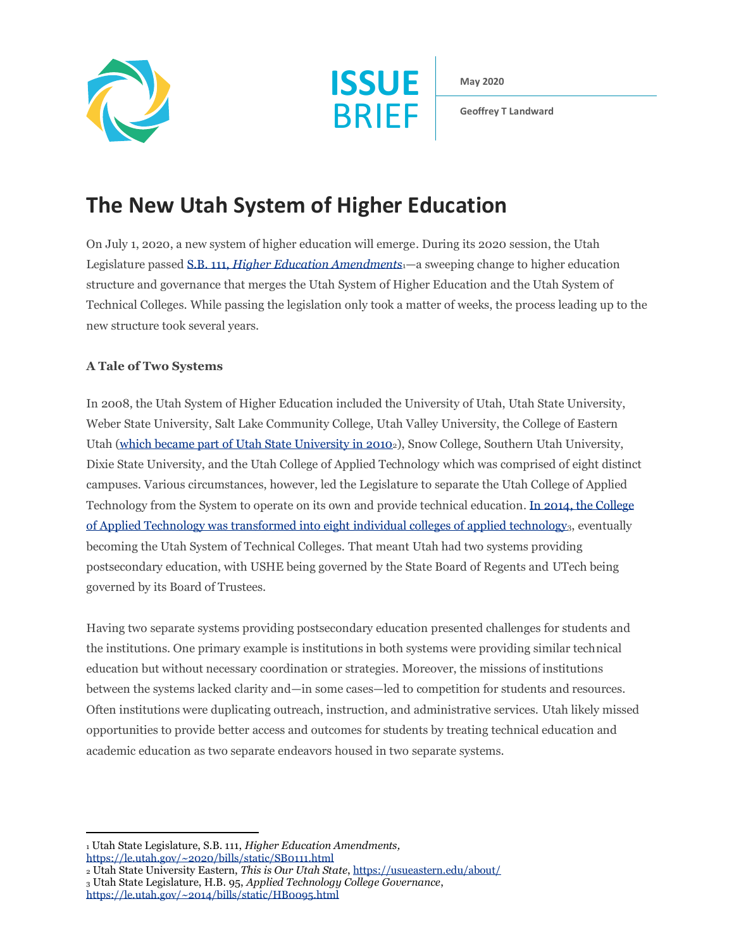



**May 2020**

**Geoffrey T Landward**

# **The New Utah System of Higher Education**

On July 1, 2020, a new system of higher education will emerge. During its 2020 session, the Utah Legislature passed S.B. 111, *[Higher Education Amendments](https://le.utah.gov/~2020/bills/static/SB0111.html)*1—a sweeping change to higher education structure and governance that merges the Utah System of Higher Education and the Utah System of Technical Colleges. While passing the legislation only took a matter of weeks, the process leading up to the new structure took several years.

## **A Tale of Two Systems**

In 2008, the Utah System of Higher Education included the University of Utah, Utah State University, Weber State University, Salt Lake Community College, Utah Valley University, the College of Eastern Utah [\(which became part of Utah State University in 2010](https://usueastern.edu/about/)2), Snow College, Southern Utah University, Dixie State University, and the Utah College of Applied Technology which was comprised of eight distinct campuses. Various circumstances, however, led the Legislature to separate the Utah College of Applied Technology from the System to operate on its own and provide technical education. [In 2014, the College](https://le.utah.gov/~2014/bills/static/HB0095.html)  [of Applied Technology was transformed into eight individual](https://le.utah.gov/~2014/bills/static/HB0095.html) colleges of applied technology3, eventually becoming the Utah System of Technical Colleges. That meant Utah had two systems providing postsecondary education, with USHE being governed by the State Board of Regents and UTech being governed by its Board of Trustees.

Having two separate systems providing postsecondary education presented challenges for students and the institutions. One primary example is institutions in both systems were providing similar technical education but without necessary coordination or strategies. Moreover, the missions of institutions between the systems lacked clarity and—in some cases—led to competition for students and resources. Often institutions were duplicating outreach, instruction, and administrative services. Utah likely missed opportunities to provide better access and outcomes for students by treating technical education and academic education as two separate endeavors housed in two separate systems.

<sup>1</sup> Utah State Legislature, S.B. 111, *Higher Education Amendments,*  <https://le.utah.gov/~2020/bills/static/SB0111.html>

<sup>2</sup> Utah State University Eastern, *This is Our Utah State*, <https://usueastern.edu/about/>

<sup>3</sup> Utah State Legislature, H.B. 95, *Applied Technology College Governance*, <https://le.utah.gov/~2014/bills/static/HB0095.html>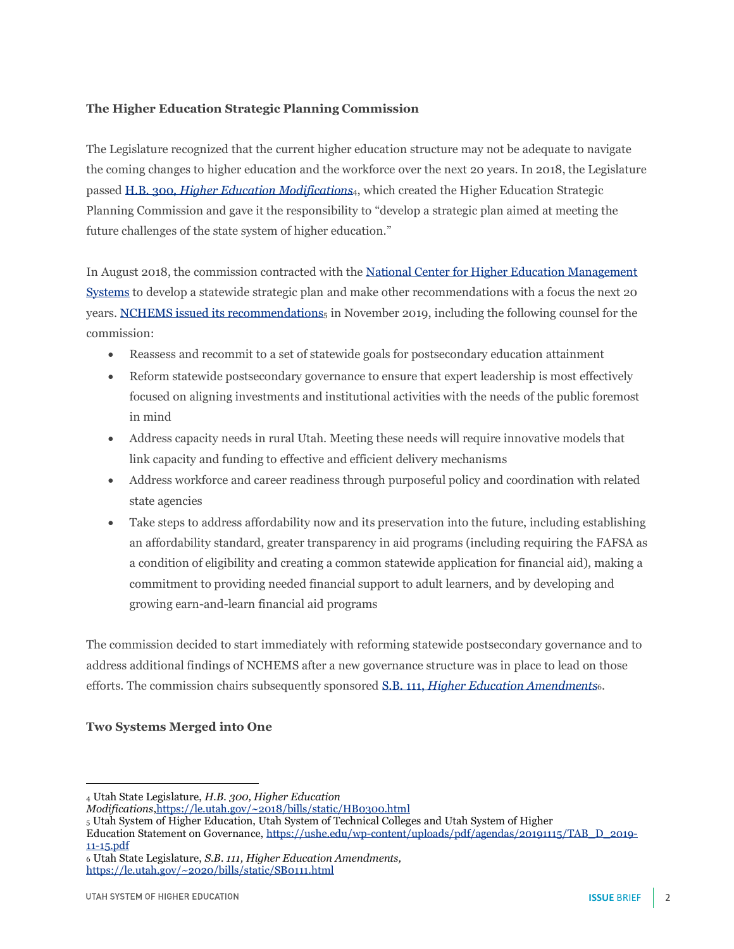#### **The Higher Education Strategic Planning Commission**

The Legislature recognized that the current higher education structure may not be adequate to navigate the coming changes to higher education and the workforce over the next 20 years. In 2018, the Legislature passed H.B. 300, *[Higher Education Modifications](https://le.utah.gov/~2014/bills/static/HB0095.html)*4, which created the Higher Education Strategic Planning Commission and gave it the responsibility to "develop a strategic plan aimed at meeting the future challenges of the state system of higher education."

In August 2018, the commission contracted with the [National Center for Higher Education Management](http://nchems.org/)  [Systems](http://nchems.org/) to develop a statewide strategic plan and make other recommendations with a focus the next 20 years. [NCHEMS issued its recommendations](https://ushe.edu/wp-content/uploads/pdf/agendas/20191115/TAB_D_2019-11-15.pdf)<sub>5</sub> in November 2019, including the following counsel for the commission:

- Reassess and recommit to a set of statewide goals for postsecondary education attainment
- Reform statewide postsecondary governance to ensure that expert leadership is most effectively focused on aligning investments and institutional activities with the needs of the public foremost in mind
- Address capacity needs in rural Utah. Meeting these needs will require innovative models that link capacity and funding to effective and efficient delivery mechanisms
- Address workforce and career readiness through purposeful policy and coordination with related state agencies
- Take steps to address affordability now and its preservation into the future, including establishing an affordability standard, greater transparency in aid programs (including requiring the FAFSA as a condition of eligibility and creating a common statewide application for financial aid), making a commitment to providing needed financial support to adult learners, and by developing and growing earn-and-learn financial aid programs

The commission decided to start immediately with reforming statewide postsecondary governance and to address additional findings of NCHEMS after a new governance structure was in place to lead on those efforts. The commission chairs subsequently sponsored S.B. 111, *[Higher Education Amendments](https://le.utah.gov/~2020/bills/static/SB0111.html)*6.

#### **Two Systems Merged into One**

<sup>4</sup> Utah State Legislature, *H.B. 300, Higher Education* 

*Modifications*[,https://le.utah.gov/~2018/bills/static/HB0300.html](https://le.utah.gov/~2014/bills/static/HB0095.html)

<sup>5</sup> Utah System of Higher Education, Utah System of Technical Colleges and Utah System of Higher

Education Statement on Governance, [https://ushe.edu/wp-content/uploads/pdf/agendas/20191115/TAB\\_D\\_2019-](https://ushe.edu/wp-content/uploads/pdf/agendas/20191115/TAB_D_2019-11-15.pdf) [11-15.pdf](https://ushe.edu/wp-content/uploads/pdf/agendas/20191115/TAB_D_2019-11-15.pdf)

<sup>6</sup> Utah State Legislature, *S.B. 111, Higher Education Amendments,*  <https://le.utah.gov/~2020/bills/static/SB0111.html>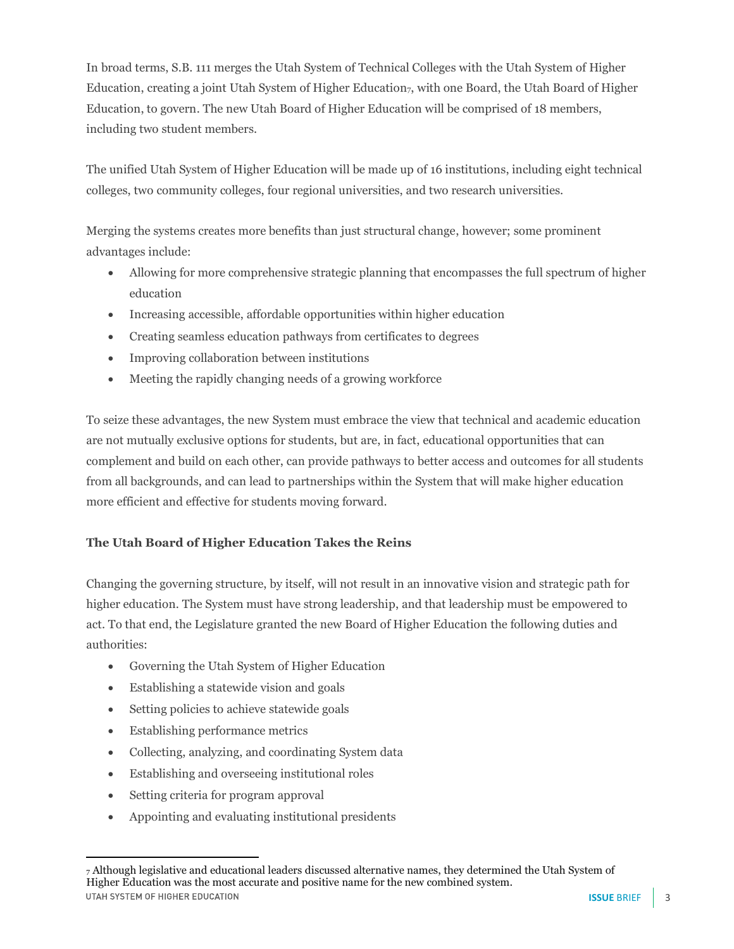In broad terms, S.B. 111 merges the Utah System of Technical Colleges with the Utah System of Higher Education, creating a joint Utah System of Higher Education<sub>7</sub>, with one Board, the Utah Board of Higher Education, to govern. The new Utah Board of Higher Education will be comprised of 18 members, including two student members.

The unified Utah System of Higher Education will be made up of 16 institutions, including eight technical colleges, two community colleges, four regional universities, and two research universities.

Merging the systems creates more benefits than just structural change, however; some prominent advantages include:

- Allowing for more comprehensive strategic planning that encompasses the full spectrum of higher education
- Increasing accessible, affordable opportunities within higher education
- Creating seamless education pathways from certificates to degrees
- Improving collaboration between institutions
- Meeting the rapidly changing needs of a growing workforce

To seize these advantages, the new System must embrace the view that technical and academic education are not mutually exclusive options for students, but are, in fact, educational opportunities that can complement and build on each other, can provide pathways to better access and outcomes for all students from all backgrounds, and can lead to partnerships within the System that will make higher education more efficient and effective for students moving forward.

### **The Utah Board of Higher Education Takes the Reins**

Changing the governing structure, by itself, will not result in an innovative vision and strategic path for higher education. The System must have strong leadership, and that leadership must be empowered to act. To that end, the Legislature granted the new Board of Higher Education the following duties and authorities:

- Governing the Utah System of Higher Education
- Establishing a statewide vision and goals
- Setting policies to achieve statewide goals
- Establishing performance metrics
- Collecting, analyzing, and coordinating System data
- Establishing and overseeing institutional roles
- Setting criteria for program approval
- Appointing and evaluating institutional presidents

<sup>7</sup> Although legislative and educational leaders discussed alternative names, they determined the Utah System of Higher Education was the most accurate and positive name for the new combined system.UTAH SYSTEM OF HIGHER EDUCATION